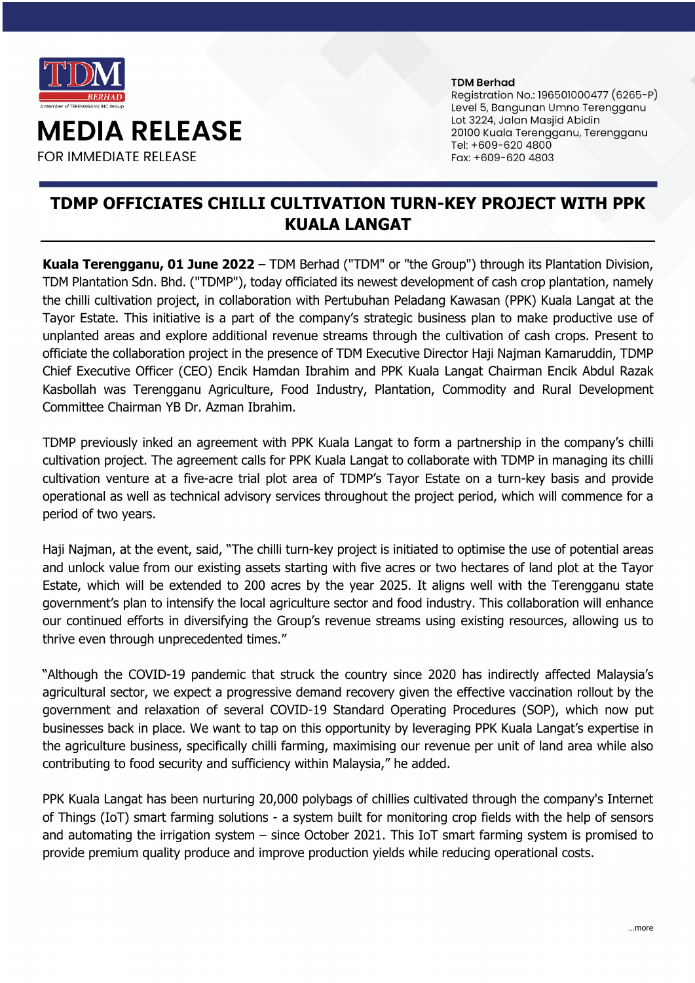

**MEDIA RELEASE** 

**FOR IMMEDIATE RELEASE** 

#### **TDM Berhad**

Registration No.: 196501000477 (6265-P) Level 5, Bangunan Umno Terengganu Lot 3224, Jalan Masjid Abidin 20100 Kuala Terengganu, Terengganu Tel: +609-620 4800 Fax: +609-620 4803

# **TDMP OFFICIATES CHILLI CULTIVATION TURN-KEY PROJECT WITH PPK KUALA LANGAT**

**Kuala Terengganu, 01 June 2022** – TDM Berhad ("TDM" or "the Group") through its Plantation Division, TDM Plantation Sdn. Bhd. ("TDMP"), today officiated its newest development of cash crop plantation, namely the chilli cultivation project, in collaboration with Pertubuhan Peladang Kawasan (PPK) Kuala Langat at the Tayor Estate. This initiative is a part of the company's strategic business plan to make productive use of unplanted areas and explore additional revenue streams through the cultivation of cash crops. Present to officiate the collaboration project in the presence of TDM Executive Director Haji Najman Kamaruddin, TDMP Chief Executive Officer (CEO) Encik Hamdan Ibrahim and PPK Kuala Langat Chairman Encik Abdul Razak Kasbollah was Terengganu Agriculture, Food Industry, Plantation, Commodity and Rural Development Committee Chairman YB Dr. Azman Ibrahim.

TDMP previously inked an agreement with PPK Kuala Langat to form a partnership in the company's chilli cultivation project. The agreement calls for PPK Kuala Langat to collaborate with TDMP in managing its chilli cultivation venture at a five-acre trial plot area of TDMP's Tayor Estate on a turn-key basis and provide operational as well as technical advisory services throughout the project period, which will commence for a period of two years.

Haji Najman, at the event, said, "The chilli turn-key project is initiated to optimise the use of potential areas and unlock value from our existing assets starting with five acres or two hectares of land plot at the Tayor Estate, which will be extended to 200 acres by the year 2025. It aligns well with the Terengganu state government's plan to intensify the local agriculture sector and food industry. This collaboration will enhance our continued efforts in diversifying the Group's revenue streams using existing resources, allowing us to thrive even through unprecedented times."

"Although the COVID-19 pandemic that struck the country since 2020 has indirectly affected Malaysia's agricultural sector, we expect a progressive demand recovery given the effective vaccination rollout by the government and relaxation of several COVID-19 Standard Operating Procedures (SOP), which now put businesses back in place. We want to tap on this opportunity by leveraging PPK Kuala Langat's expertise in the agriculture business, specifically chilli farming, maximising our revenue per unit of land area while also contributing to food security and sufficiency within Malaysia," he added.

PPK Kuala Langat has been nurturing 20,000 polybags of chillies cultivated through the company's Internet of Things (IoT) smart farming solutions - a system built for monitoring crop fields with the help of sensors and automating the irrigation system – since October 2021. This IoT smart farming system is promised to provide premium quality produce and improve production yields while reducing operational costs.